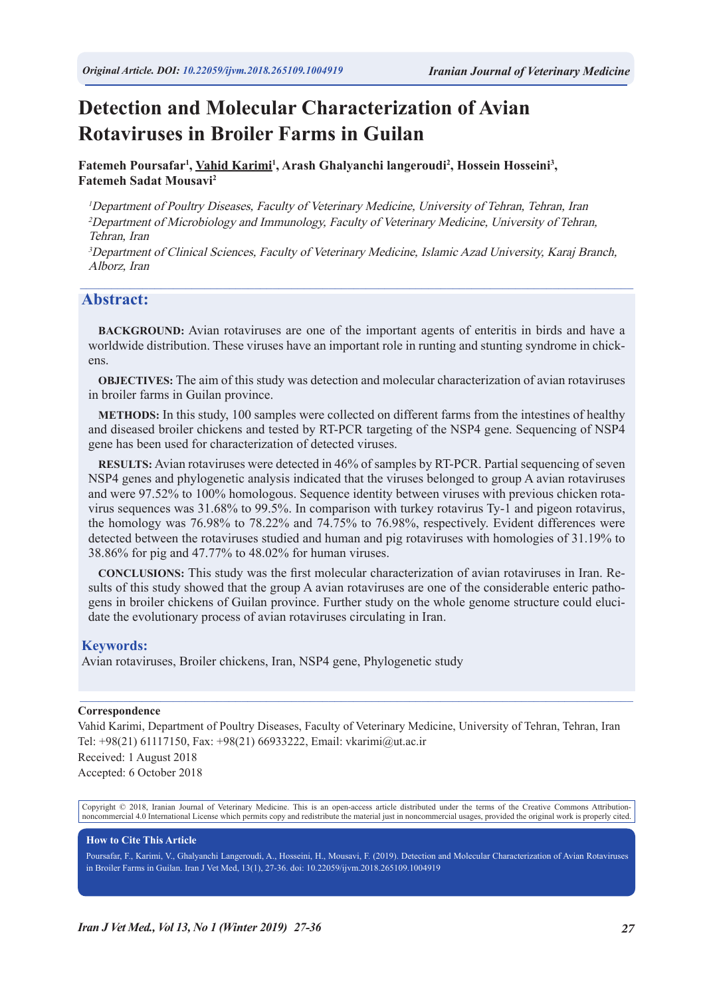# **Detection and Molecular Characterization of Avian Rotaviruses in Broiler Farms in Guilan**

Fatemeh Poursafar<sup>1</sup>, Vahid Karimi<sup>1</sup>, Arash Ghalyanchi langeroudi<sup>2</sup>, Hossein Hosseini<sup>3</sup>, **Fatemeh Sadat Mousavi2**

<sup>1</sup>Department of Poultry Diseases, Faculty of Veterinary Medicine, University of Tehran, Tehran, Iran <sup>2</sup>Department of Microbiology and Immunology, Faculty of Veterinary Medicine, University of Tehran, Tehran, Iran

<sup>3</sup>Department of Clinical Sciences, Faculty of Veterinary Medicine, Islamic Azad University, Karaj Branch, Alborz, Iran

 $\_$  , and the state of the state of the state of the state of the state of the state of the state of the state of the state of the state of the state of the state of the state of the state of the state of the state of the

### **Abstract:**

**BACKGROUND:** Avian rotaviruses are one of the important agents of enteritis in birds and have a worldwide distribution. These viruses have an important role in runting and stunting syndrome in chickens.

**OBJECTIVES:** The aim of this study was detection and molecular characterization of avian rotaviruses in broiler farms in Guilan province.

**METHODS:** In this study, 100 samples were collected on different farms from the intestines of healthy and diseased broiler chickens and tested by RT-PCR targeting of the NSP4 gene. Sequencing of NSP4 gene has been used for characterization of detected viruses.

**RESULTS:** Avian rotaviruses were detected in 46% of samples by RT-PCR. Partial sequencing of seven NSP4 genes and phylogenetic analysis indicated that the viruses belonged to group A avian rotaviruses and were 97.52% to 100% homologous. Sequence identity between viruses with previous chicken rotavirus sequences was 31.68% to 99.5%. In comparison with turkey rotavirus Ty-1 and pigeon rotavirus, the homology was 76.98% to 78.22% and 74.75% to 76.98%, respectively. Evident differences were detected between the rotaviruses studied and human and pig rotaviruses with homologies of 31.19% to 38.86% for pig and 47.77% to 48.02% for human viruses.

**CONCLUSIONS:** This study was the first molecular characterization of avian rotaviruses in Iran. Results of this study showed that the group A avian rotaviruses are one of the considerable enteric pathogens in broiler chickens of Guilan province. Further study on the whole genome structure could elucidate the evolutionary process of avian rotaviruses circulating in Iran.

### **Keywords:**

Avian rotaviruses, Broiler chickens, Iran, NSP4 gene, Phylogenetic study

#### **Correspondence**

Vahid Karimi, Department of Poultry Diseases, Faculty of Veterinary Medicine, University of Tehran, Tehran, Iran Tel: +98(21) 61117150, Fax: +98(21) 66933222, Email: vkarimi@ut.ac.ir Received: 1 August 2018 Accepted: 6 October 2018

 $\mathcal{L}_\mathcal{L} = \mathcal{L}_\mathcal{L} = \mathcal{L}_\mathcal{L} = \mathcal{L}_\mathcal{L} = \mathcal{L}_\mathcal{L} = \mathcal{L}_\mathcal{L} = \mathcal{L}_\mathcal{L} = \mathcal{L}_\mathcal{L} = \mathcal{L}_\mathcal{L} = \mathcal{L}_\mathcal{L} = \mathcal{L}_\mathcal{L} = \mathcal{L}_\mathcal{L} = \mathcal{L}_\mathcal{L} = \mathcal{L}_\mathcal{L} = \mathcal{L}_\mathcal{L} = \mathcal{L}_\mathcal{L} = \mathcal{L}_\mathcal{L}$ 

Copyright © 2018, Iranian Journal of Veterinary Medicine. This is an open-access article distributed under the terms of the Creative Commons Attributionnoncommercial 4.0 International License which permits copy and redistribute the material just in noncommercial usages, provided the original work is properly cited.

#### **How to Cite This Article**

Poursafar, F., Karimi, V., Ghalyanchi Langeroudi, A., Hosseini, H., Mousavi, F. (2019). Detection and Molecular Characterization of Avian Rotaviruses in Broiler Farms in Guilan. Iran J Vet Med, 13(1), 27-36. doi: 10.22059/ijvm.2018.265109.1004919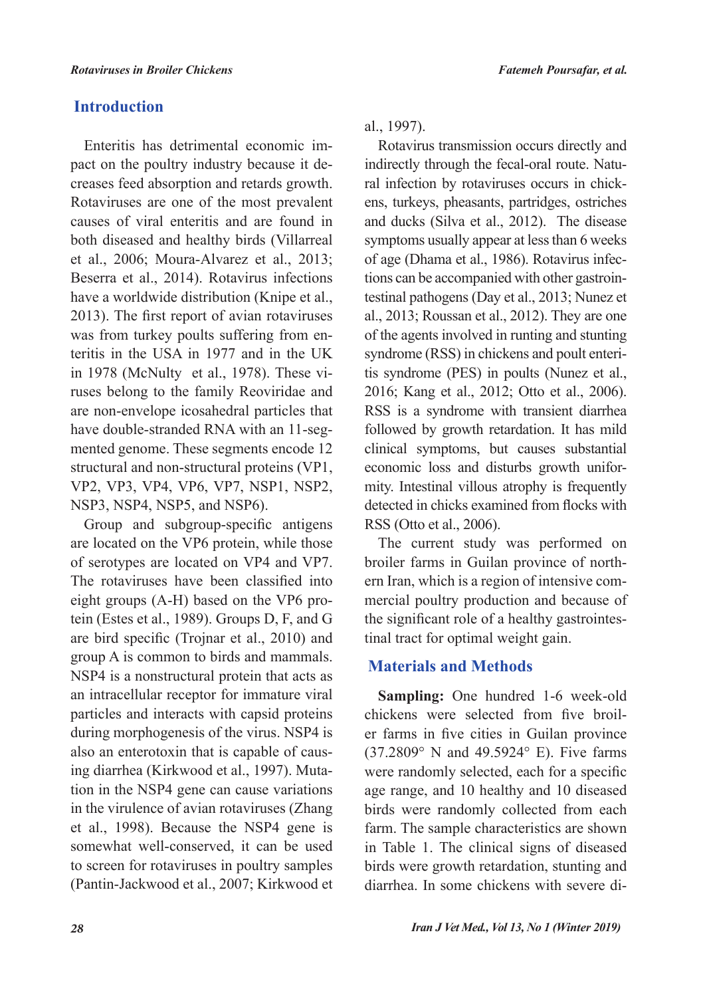# **Introduction**

Enteritis has detrimental economic impact on the poultry industry because it decreases feed absorption and retards growth. Rotaviruses are one of the most prevalent causes of viral enteritis and are found in both diseased and healthy birds (Villarreal et al., 2006; Moura-Alvarez et al., 2013; Beserra et al., 2014). Rotavirus infections have a worldwide distribution (Knipe et al., 2013). The first report of avian rotaviruses was from turkey poults suffering from enteritis in the USA in 1977 and in the UK in 1978 (McNulty et al., 1978). These viruses belong to the family Reoviridae and are non-envelope icosahedral particles that have double-stranded RNA with an 11-segmented genome. These segments encode 12 structural and non-structural proteins (VP1, VP2, VP3, VP4, VP6, VP7, NSP1, NSP2, NSP3, NSP4, NSP5, and NSP6).

Group and subgroup-specific antigens are located on the VP6 protein, while those of serotypes are located on VP4 and VP7. The rotaviruses have been classified into eight groups (A-H) based on the VP6 protein (Estes et al., 1989). Groups D, F, and G are bird specific (Trojnar et al., 2010) and group A is common to birds and mammals. NSP4 is a nonstructural protein that acts as an intracellular receptor for immature viral particles and interacts with capsid proteins during morphogenesis of the virus. NSP4 is also an enterotoxin that is capable of causing diarrhea (Kirkwood et al., 1997). Mutation in the NSP4 gene can cause variations in the virulence of avian rotaviruses (Zhang et al., 1998). Because the NSP4 gene is somewhat well-conserved, it can be used to screen for rotaviruses in poultry samples (Pantin-Jackwood et al., 2007; Kirkwood et al., 1997).

Rotavirus transmission occurs directly and indirectly through the fecal-oral route. Natural infection by rotaviruses occurs in chickens, turkeys, pheasants, partridges, ostriches and ducks (Silva et al., 2012). The disease symptoms usually appear at less than 6 weeks of age (Dhama et al., 1986). Rotavirus infections can be accompanied with other gastrointestinal pathogens (Day et al., 2013; Nunez et al., 2013; Roussan et al., 2012). They are one of the agents involved in runting and stunting syndrome (RSS) in chickens and poult enteritis syndrome (PES) in poults (Nunez et al., 2016; Kang et al., 2012; Otto et al., 2006). RSS is a syndrome with transient diarrhea followed by growth retardation. It has mild clinical symptoms, but causes substantial economic loss and disturbs growth uniformity. Intestinal villous atrophy is frequently detected in chicks examined from flocks with RSS (Otto et al., 2006).

The current study was performed on broiler farms in Guilan province of northern Iran, which is a region of intensive commercial poultry production and because of the significant role of a healthy gastrointestinal tract for optimal weight gain.

# **Materials and Methods**

**Sampling:** One hundred 1-6 week-old chickens were selected from five broiler farms in five cities in Guilan province (37.2809° N and 49.5924° E). Five farms were randomly selected, each for a specific age range, and 10 healthy and 10 diseased birds were randomly collected from each farm. The sample characteristics are shown in Table 1. The clinical signs of diseased birds were growth retardation, stunting and diarrhea. In some chickens with severe di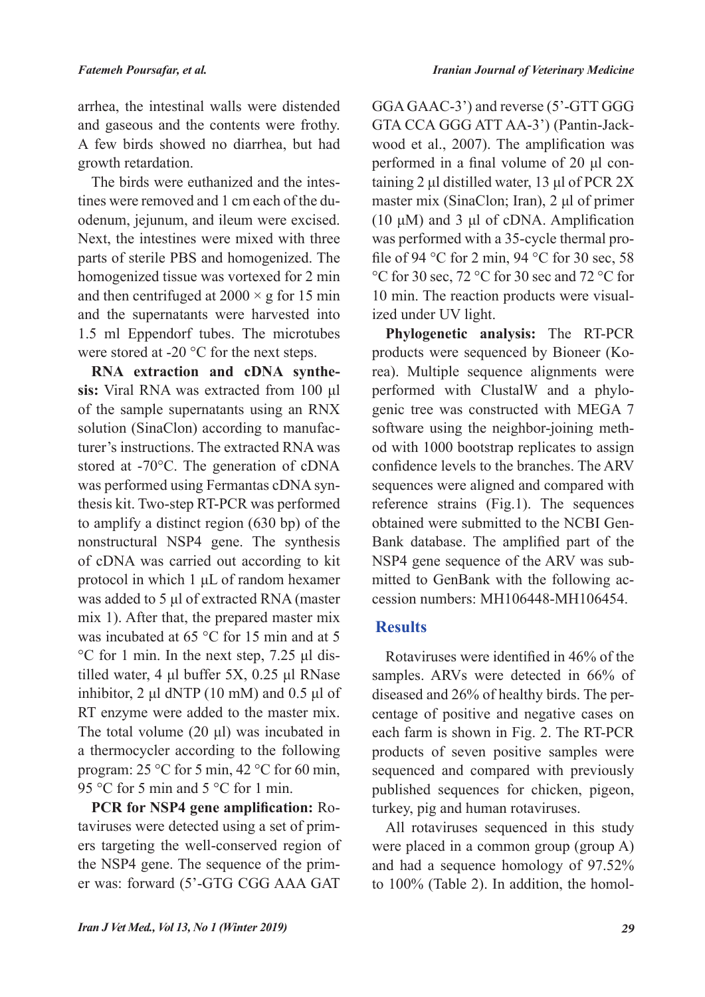arrhea, the intestinal walls were distended and gaseous and the contents were frothy. A few birds showed no diarrhea, but had growth retardation.

The birds were euthanized and the intestines were removed and 1 cm each of the duodenum, jejunum, and ileum were excised. Next, the intestines were mixed with three parts of sterile PBS and homogenized. The homogenized tissue was vortexed for 2 min and then centrifuged at  $2000 \times g$  for 15 min and the supernatants were harvested into 1.5 ml Eppendorf tubes. The microtubes were stored at -20 °C for the next steps.

**RNA extraction and cDNA synthesis:** Viral RNA was extracted from 100 μl of the sample supernatants using an RNX solution (SinaClon) according to manufacturer's instructions. The extracted RNA was stored at -70°C. The generation of cDNA was performed using Fermantas cDNA synthesis kit. Two-step RT-PCR was performed to amplify a distinct region (630 bp) of the nonstructural NSP4 gene. The synthesis of cDNA was carried out according to kit protocol in which 1 μL of random hexamer was added to 5 μl of extracted RNA (master mix 1). After that, the prepared master mix was incubated at 65 °C for 15 min and at 5 °C for 1 min. In the next step, 7.25 μl distilled water, 4 μl buffer 5X, 0.25 μl RNase inhibitor,  $2 \mu$ l dNTP (10 mM) and 0.5  $\mu$ l of RT enzyme were added to the master mix. The total volume (20 μl) was incubated in a thermocycler according to the following program: 25 °C for 5 min, 42 °C for 60 min, 95 °C for 5 min and 5 °C for 1 min.

**PCR for NSP4 gene amplification:** Rotaviruses were detected using a set of primers targeting the well-conserved region of the NSP4 gene. The sequence of the primer was: forward (5'-GTG CGG AAA GAT

GGA GAAC-3') and reverse (5'-GTT GGG GTA CCA GGG ATT AA-3') (Pantin-Jackwood et al., 2007). The amplification was performed in a final volume of 20 μl containing 2 μl distilled water, 13 μl of PCR 2X master mix (SinaClon; Iran), 2 μl of primer (10 μM) and 3 μl of cDNA. Amplification was performed with a 35-cycle thermal profile of 94 °C for 2 min, 94 °C for 30 sec, 58 °C for 30 sec, 72 °C for 30 sec and 72 °C for 10 min. The reaction products were visualized under UV light.

**Phylogenetic analysis:** The RT-PCR products were sequenced by Bioneer (Korea). Multiple sequence alignments were performed with ClustalW and a phylogenic tree was constructed with MEGA 7 software using the neighbor-joining method with 1000 bootstrap replicates to assign confidence levels to the branches. The ARV sequences were aligned and compared with reference strains (Fig.1). The sequences obtained were submitted to the NCBI Gen-Bank database. The amplified part of the NSP4 gene sequence of the ARV was submitted to GenBank with the following accession numbers: MH106448-MH106454.

# **Results**

Rotaviruses were identified in 46% of the samples. ARVs were detected in 66% of diseased and 26% of healthy birds. The percentage of positive and negative cases on each farm is shown in Fig. 2. The RT-PCR products of seven positive samples were sequenced and compared with previously published sequences for chicken, pigeon, turkey, pig and human rotaviruses.

All rotaviruses sequenced in this study were placed in a common group (group A) and had a sequence homology of 97.52% to 100% (Table 2). In addition, the homol-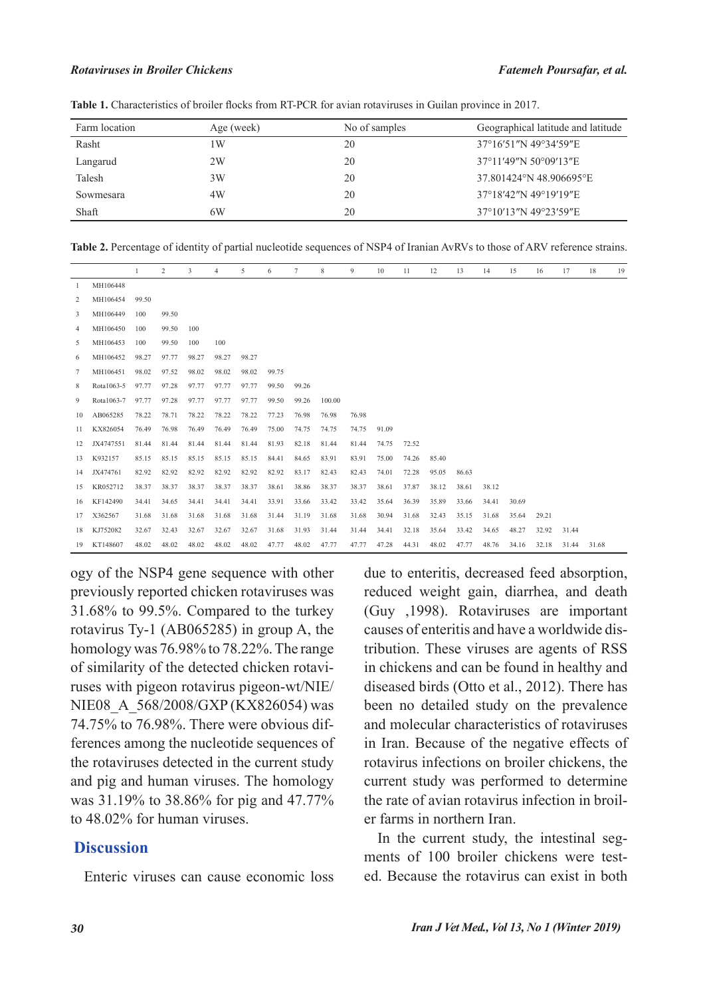#### *Rotaviruses in Broiler Chickens Fatemeh Poursafar, et al.*

| Farm location | Age (week) | No of samples | Geographical latitude and latitude |  |  |  |  |  |
|---------------|------------|---------------|------------------------------------|--|--|--|--|--|
| Rasht         | l W        | 20            | 37°16'51″N 49°34'59″E              |  |  |  |  |  |
| Langarud      | 2W         | 20            | 37°11'49"N 50°09'13"E              |  |  |  |  |  |
| Talesh        | 3W         | 20            | 37.801424°N 48.906695°E            |  |  |  |  |  |
| Sowmesara     | 4W         | 20            | 37°18′42″N 49°19′19″E              |  |  |  |  |  |
| Shaft         | 6W         | 20            | 37°10'13″N 49°23'59″E              |  |  |  |  |  |

**Table 1.** Characteristics of broiler flocks from RT-PCR for avian rotaviruses in Guilan province in 2017.

**Table 2.** Percentage of identity of partial nucleotide sequences of NSP4 of Iranian AvRVs to those of ARV reference strains.

|    |            |       | 2     | 3     | $\overline{4}$ | 5     | 6     | 7     | 8      | 9     | 10    | 11    | 12    | 13    | 14    | 15    | 16    | 17    | 18    | 19 |
|----|------------|-------|-------|-------|----------------|-------|-------|-------|--------|-------|-------|-------|-------|-------|-------|-------|-------|-------|-------|----|
|    | MH106448   |       |       |       |                |       |       |       |        |       |       |       |       |       |       |       |       |       |       |    |
| 2  | MH106454   | 99.50 |       |       |                |       |       |       |        |       |       |       |       |       |       |       |       |       |       |    |
| 3  | MH106449   | 100   | 99.50 |       |                |       |       |       |        |       |       |       |       |       |       |       |       |       |       |    |
| 4  | MH106450   | 100   | 99.50 | 100   |                |       |       |       |        |       |       |       |       |       |       |       |       |       |       |    |
| 5. | MH106453   | 100   | 99.50 | 100   | 100            |       |       |       |        |       |       |       |       |       |       |       |       |       |       |    |
| 6  | MH106452   | 98.27 | 97.77 | 98.27 | 98.27          | 98.27 |       |       |        |       |       |       |       |       |       |       |       |       |       |    |
| 7  | MH106451   | 98.02 | 97.52 | 98.02 | 98.02          | 98.02 | 99.75 |       |        |       |       |       |       |       |       |       |       |       |       |    |
| 8  | Rota1063-5 | 97.77 | 97.28 | 97.77 | 97.77          | 97.77 | 99.50 | 99.26 |        |       |       |       |       |       |       |       |       |       |       |    |
| 9  | Rota1063-7 | 97.77 | 97.28 | 97.77 | 97.77          | 97.77 | 99.50 | 99.26 | 100.00 |       |       |       |       |       |       |       |       |       |       |    |
| 10 | AB065285   | 78.22 | 78.71 | 78.22 | 78.22          | 78.22 | 77.23 | 76.98 | 76.98  | 76.98 |       |       |       |       |       |       |       |       |       |    |
| 11 | KX826054   | 76.49 | 76.98 | 76.49 | 76.49          | 76.49 | 75.00 | 74.75 | 74.75  | 74.75 | 91.09 |       |       |       |       |       |       |       |       |    |
| 12 | JX4747551  | 81.44 | 81.44 | 81.44 | 81.44          | 81.44 | 81.93 | 82.18 | 81.44  | 81.44 | 74.75 | 72.52 |       |       |       |       |       |       |       |    |
| 13 | K932157    | 85.15 | 85.15 | 85.15 | 85.15          | 85.15 | 84.41 | 84.65 | 83.91  | 83.91 | 75.00 | 74.26 | 85.40 |       |       |       |       |       |       |    |
| 14 | JX474761   | 82.92 | 82.92 | 82.92 | 82.92          | 82.92 | 82.92 | 83.17 | 82.43  | 82.43 | 74.01 | 72.28 | 95.05 | 86.63 |       |       |       |       |       |    |
| 15 | KR052712   | 38.37 | 38.37 | 38.37 | 38.37          | 38.37 | 38.61 | 38.86 | 38.37  | 38.37 | 38.61 | 37.87 | 38.12 | 38.61 | 38.12 |       |       |       |       |    |
| 16 | KF142490   | 34.41 | 34.65 | 34.41 | 34.41          | 34.41 | 33.91 | 33.66 | 33.42  | 33.42 | 35.64 | 36.39 | 35.89 | 33.66 | 34.41 | 30.69 |       |       |       |    |
| 17 | X362567    | 31.68 | 31.68 | 31.68 | 31.68          | 31.68 | 31.44 | 31.19 | 31.68  | 31.68 | 30.94 | 31.68 | 32.43 | 35.15 | 31.68 | 35.64 | 29.21 |       |       |    |
| 18 | KJ752082   | 32.67 | 32.43 | 32.67 | 32.67          | 32.67 | 31.68 | 31.93 | 31.44  | 31.44 | 34.41 | 32.18 | 35.64 | 33.42 | 34.65 | 48.27 | 32.92 | 31.44 |       |    |
| 19 | KT148607   | 48.02 | 48.02 | 48.02 | 48.02          | 48.02 | 47.77 | 48.02 | 47.77  | 47.77 | 47.28 | 44.31 | 48.02 | 47.77 | 48.76 | 34.16 | 32.18 | 31.44 | 31.68 |    |

ogy of the NSP4 gene sequence with other previously reported chicken rotaviruses was 31.68% to 99.5%. Compared to the turkey rotavirus Ty-1 (AB065285) in group A, the homology was 76.98% to 78.22%. The range of similarity of the detected chicken rotaviruses with pigeon rotavirus pigeon-wt/NIE/ NIE08 A 568/2008/GXP (KX826054) was 74.75% to 76.98%. There were obvious differences among the nucleotide sequences of the rotaviruses detected in the current study and pig and human viruses. The homology was 31.19% to 38.86% for pig and 47.77% to 48.02% for human viruses.

### **Discussion**

Enteric viruses can cause economic loss

due to enteritis, decreased feed absorption, reduced weight gain, diarrhea, and death (Guy ,1998). Rotaviruses are important causes of enteritis and have a worldwide distribution. These viruses are agents of RSS in chickens and can be found in healthy and diseased birds (Otto et al., 2012). There has been no detailed study on the prevalence and molecular characteristics of rotaviruses in Iran. Because of the negative effects of rotavirus infections on broiler chickens, the current study was performed to determine the rate of avian rotavirus infection in broiler farms in northern Iran.

In the current study, the intestinal segments of 100 broiler chickens were tested. Because the rotavirus can exist in both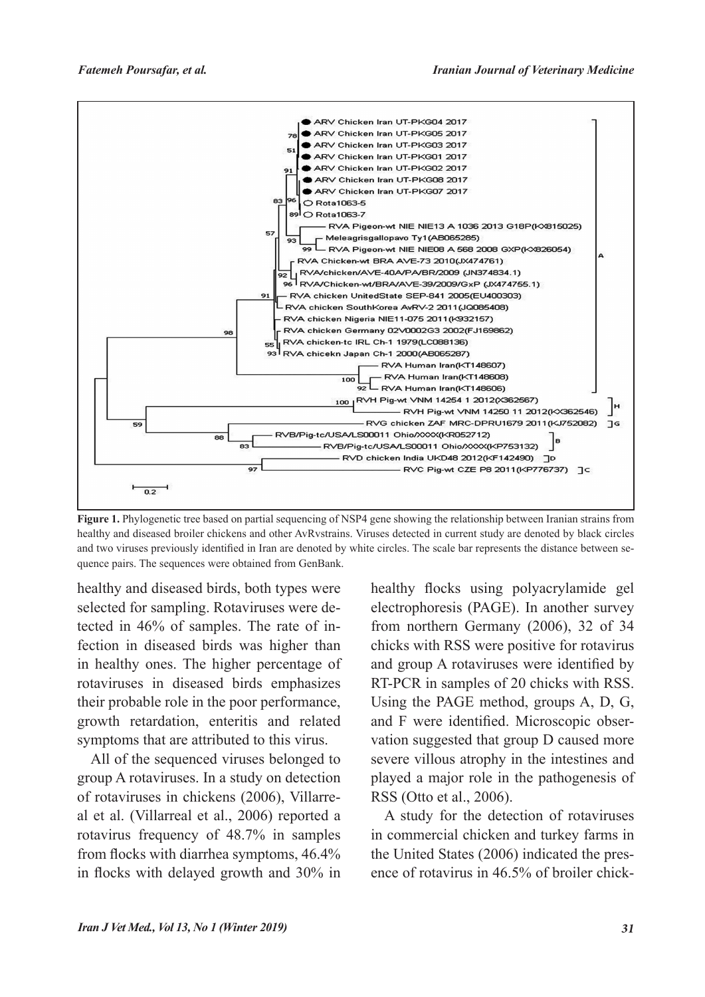

**Figure 1.** Phylogenetic tree based on partial sequencing of NSP4 gene showing the relationship between Iranian strains from healthy and diseased broiler chickens and other AvRvstrains. Viruses detected in current study are denoted by black circles and two viruses previously identified in Iran are denoted by white circles. The scale bar represents the distance between sequence pairs. The sequences were obtained from GenBank.

healthy and diseased birds, both types were selected for sampling. Rotaviruses were detected in 46% of samples. The rate of infection in diseased birds was higher than in healthy ones. The higher percentage of rotaviruses in diseased birds emphasizes their probable role in the poor performance, growth retardation, enteritis and related symptoms that are attributed to this virus.

All of the sequenced viruses belonged to group A rotaviruses. In a study on detection of rotaviruses in chickens (2006), Villarreal et al. (Villarreal et al., 2006) reported a rotavirus frequency of 48.7% in samples from flocks with diarrhea symptoms, 46.4% in flocks with delayed growth and 30% in healthy flocks using polyacrylamide gel electrophoresis (PAGE). In another survey from northern Germany (2006), 32 of 34 chicks with RSS were positive for rotavirus and group A rotaviruses were identified by RT-PCR in samples of 20 chicks with RSS. Using the PAGE method, groups A, D, G, and F were identified. Microscopic observation suggested that group D caused more severe villous atrophy in the intestines and played a major role in the pathogenesis of RSS (Otto et al., 2006).

A study for the detection of rotaviruses in commercial chicken and turkey farms in the United States (2006) indicated the presence of rotavirus in 46.5% of broiler chick-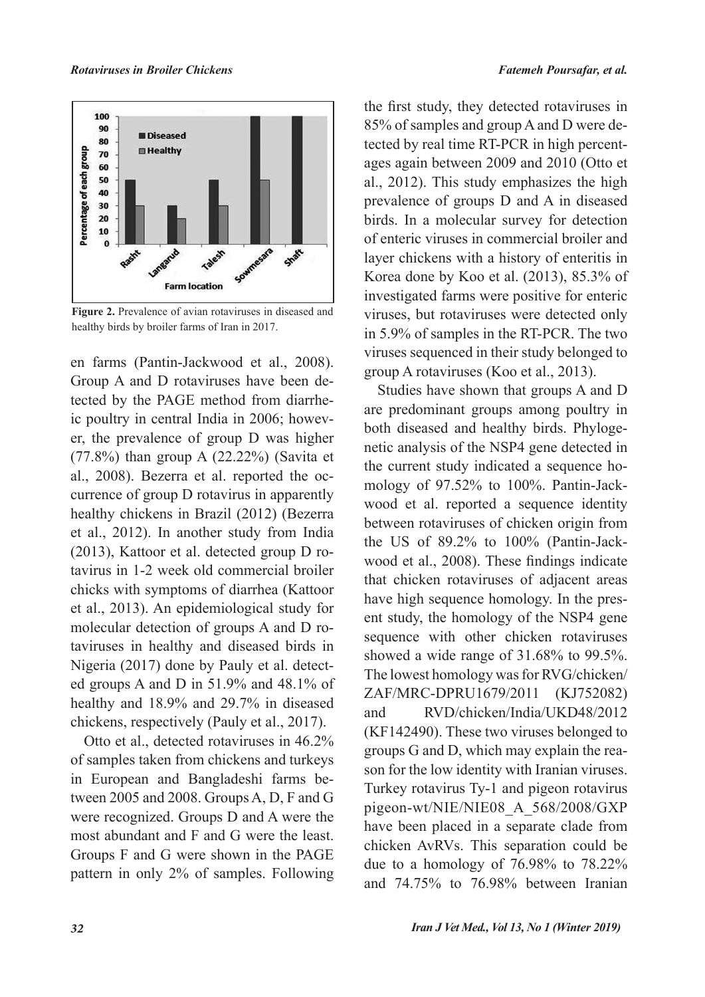

**Figure 2.** Prevalence of avian rotaviruses in diseased and healthy birds by broiler farms of Iran in 2017.

en farms (Pantin-Jackwood et al., 2008). Group A and D rotaviruses have been detected by the PAGE method from diarrheic poultry in central India in 2006; however, the prevalence of group D was higher (77.8%) than group A (22.22%) (Savita et al., 2008). Bezerra et al. reported the occurrence of group D rotavirus in apparently healthy chickens in Brazil (2012) (Bezerra et al., 2012). In another study from India (2013), Kattoor et al. detected group D rotavirus in 1-2 week old commercial broiler chicks with symptoms of diarrhea (Kattoor et al., 2013). An epidemiological study for molecular detection of groups A and D rotaviruses in healthy and diseased birds in Nigeria (2017) done by Pauly et al. detected groups A and D in 51.9% and 48.1% of healthy and 18.9% and 29.7% in diseased chickens, respectively (Pauly et al., 2017).

Otto et al., detected rotaviruses in 46.2% of samples taken from chickens and turkeys in European and Bangladeshi farms between 2005 and 2008. Groups A, D, F and G were recognized. Groups D and A were the most abundant and F and G were the least. Groups F and G were shown in the PAGE pattern in only 2% of samples. Following the first study, they detected rotaviruses in 85% of samples and group A and D were detected by real time RT-PCR in high percentages again between 2009 and 2010 (Otto et al., 2012). This study emphasizes the high prevalence of groups D and A in diseased birds. In a molecular survey for detection of enteric viruses in commercial broiler and layer chickens with a history of enteritis in Korea done by Koo et al. (2013), 85.3% of investigated farms were positive for enteric viruses, but rotaviruses were detected only in 5.9% of samples in the RT-PCR. The two viruses sequenced in their study belonged to group A rotaviruses (Koo et al., 2013).

Studies have shown that groups A and D are predominant groups among poultry in both diseased and healthy birds. Phylogenetic analysis of the NSP4 gene detected in the current study indicated a sequence homology of 97.52% to 100%. Pantin-Jackwood et al. reported a sequence identity between rotaviruses of chicken origin from the US of 89.2% to 100% (Pantin-Jackwood et al., 2008). These findings indicate that chicken rotaviruses of adjacent areas have high sequence homology. In the present study, the homology of the NSP4 gene sequence with other chicken rotaviruses showed a wide range of 31.68% to 99.5%. The lowest homology was for RVG/chicken/ ZAF/MRC-DPRU1679/2011 (KJ752082) and RVD/chicken/India/UKD48/2012 (KF142490). These two viruses belonged to groups G and D, which may explain the reason for the low identity with Iranian viruses. Turkey rotavirus Ty-1 and pigeon rotavirus pigeon-wt/NIE/NIE08\_A\_568/2008/GXP have been placed in a separate clade from chicken AvRVs. This separation could be due to a homology of 76.98% to 78.22% and 74.75% to 76.98% between Iranian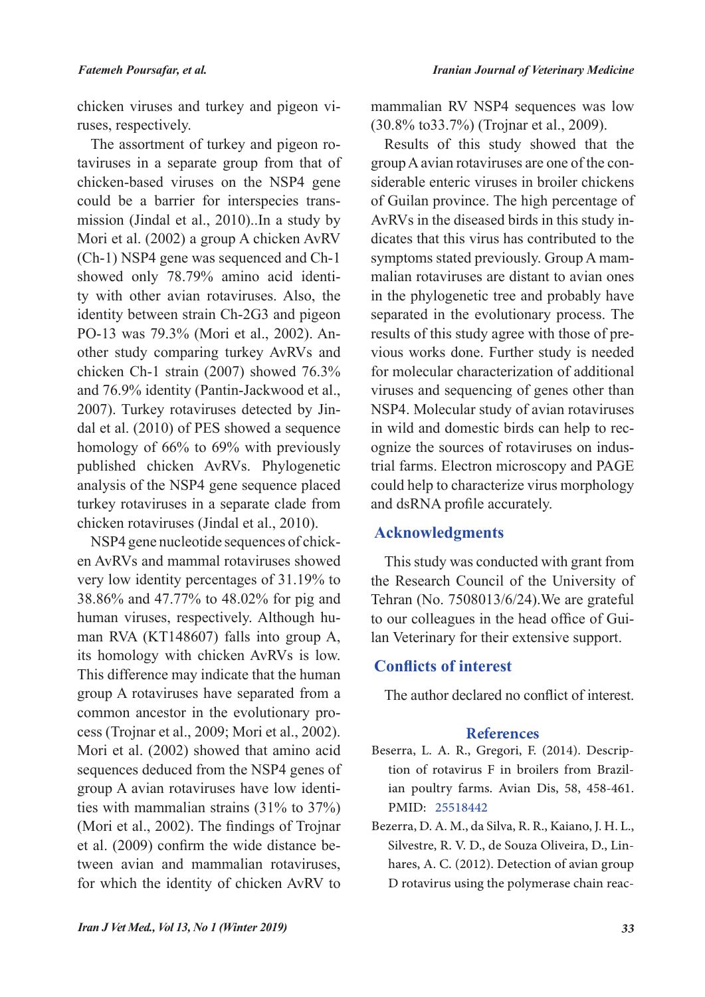chicken viruses and turkey and pigeon viruses, respectively.

The assortment of turkey and pigeon rotaviruses in a separate group from that of chicken-based viruses on the NSP4 gene could be a barrier for interspecies transmission (Jindal et al., 2010)..In a study by Mori et al. (2002) a group A chicken AvRV (Ch-1) NSP4 gene was sequenced and Ch-1 showed only 78.79% amino acid identity with other avian rotaviruses. Also, the identity between strain Ch-2G3 and pigeon PO-13 was 79.3% (Mori et al., 2002). Another study comparing turkey AvRVs and chicken Ch-1 strain (2007) showed 76.3% and 76.9% identity (Pantin-Jackwood et al., 2007). Turkey rotaviruses detected by Jindal et al. (2010) of PES showed a sequence homology of 66% to 69% with previously published chicken AvRVs. Phylogenetic analysis of the NSP4 gene sequence placed turkey rotaviruses in a separate clade from chicken rotaviruses (Jindal et al., 2010).

NSP4 gene nucleotide sequences of chicken AvRVs and mammal rotaviruses showed very low identity percentages of 31.19% to 38.86% and 47.77% to 48.02% for pig and human viruses, respectively. Although human RVA (KT148607) falls into group A, its homology with chicken AvRVs is low. This difference may indicate that the human group A rotaviruses have separated from a common ancestor in the evolutionary process (Trojnar et al., 2009; Mori et al., 2002). Mori et al. (2002) showed that amino acid sequences deduced from the NSP4 genes of group A avian rotaviruses have low identities with mammalian strains (31% to 37%) (Mori et al., 2002). The findings of Trojnar et al. (2009) confirm the wide distance between avian and mammalian rotaviruses, for which the identity of chicken AvRV to

mammalian RV NSP4 sequences was low (30.8% to33.7%) (Trojnar et al., 2009).

Results of this study showed that the group A avian rotaviruses are one of the considerable enteric viruses in broiler chickens of Guilan province. The high percentage of AvRVs in the diseased birds in this study indicates that this virus has contributed to the symptoms stated previously. Group A mammalian rotaviruses are distant to avian ones in the phylogenetic tree and probably have separated in the evolutionary process. The results of this study agree with those of previous works done. Further study is needed for molecular characterization of additional viruses and sequencing of genes other than NSP4. Molecular study of avian rotaviruses in wild and domestic birds can help to recognize the sources of rotaviruses on industrial farms. Electron microscopy and PAGE could help to characterize virus morphology and dsRNA profile accurately.

# **Acknowledgments**

This study was conducted with grant from the Research Council of the University of Tehran (No. 7508013/6/24).We are grateful to our colleagues in the head office of Guilan Veterinary for their extensive support.

### **Conflicts of interest**

The author declared no conflict of interest.

### **References**

- Beserra, L. A. R., Gregori, F. (2014). Description of rotavirus F in broilers from Brazilian poultry farms. Avian Dis, 58, 458-461. PMID: 25518442
- Bezerra, D. A. M., da Silva, R. R., Kaiano, J. H. L., Silvestre, R. V. D., de Souza Oliveira, D., Linhares, A. C. (2012). Detection of avian group D rotavirus using the polymerase chain reac-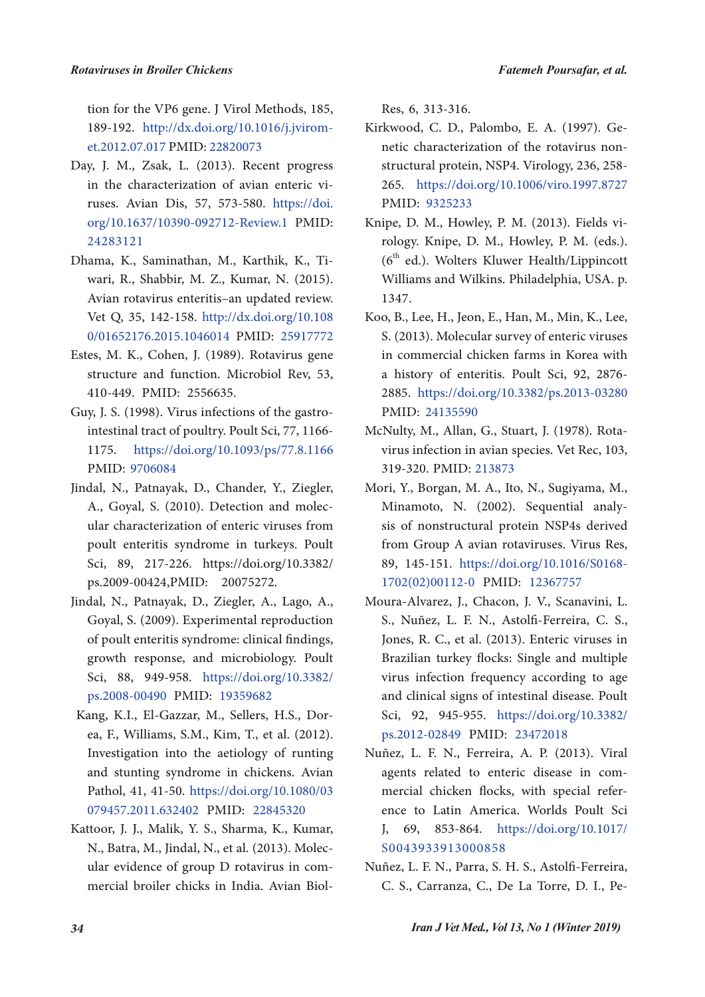tion for the VP6 gene. J Virol Methods, 185, 189-192. http://dx.doi.org/10.1016/j.jviromet.2012.07.017 PMID: 22820073

- Day, J. M., Zsak, L. (2013). Recent progress in the characterization of avian enteric viruses. Avian Dis, 57, 573-580. https://doi. org/10.1637/10390-092712-Review.1 PMID: 24283121
- Dhama, K., Saminathan, M., Karthik, K., Tiwari, R., Shabbir, M. Z., Kumar, N. (2015). Avian rotavirus enteritis–an updated review. Vet Q, 35, 142-158. http://dx.doi.org/10.108 0/01652176.2015.1046014 PMID: 25917772
- Estes, M. K., Cohen, J. (1989). Rotavirus gene structure and function. Microbiol Rev, 53, 410-449. PMID: 2556635.
- Guy, J. S. (1998). Virus infections of the gastrointestinal tract of poultry. Poult Sci, 77, 1166- 1175. https://doi.org/10.1093/ps/77.8.1166 PMID: 9706084
- Jindal, N., Patnayak, D., Chander, Y., Ziegler, A., Goyal, S. (2010). Detection and molecular characterization of enteric viruses from poult enteritis syndrome in turkeys. Poult Sci, 89, 217-226. https://doi.org/10.3382/ ps.2009-00424,PMID: 20075272.
- Jindal, N., Patnayak, D., Ziegler, A., Lago, A., Goyal, S. (2009). Experimental reproduction of poult enteritis syndrome: clinical findings, growth response, and microbiology. Poult Sci, 88, 949-958. https://doi.org/10.3382/ ps.2008-00490 PMID: 19359682
- Kang, K.I., El-Gazzar, M., Sellers, H.S., Dorea, F., Williams, S.M., Kim, T., et al. (2012). Investigation into the aetiology of runting and stunting syndrome in chickens. Avian Pathol, 41, 41-50. https://doi.org/10.1080/03 079457.2011.632402 PMID: 22845320
- Kattoor, J. J., Malik, Y. S., Sharma, K., Kumar, N., Batra, M., Jindal, N., et al. (2013). Molecular evidence of group D rotavirus in commercial broiler chicks in India. Avian Biol-

Res, 6, 313-316.

- Kirkwood, C. D., Palombo, E. A. (1997). Genetic characterization of the rotavirus nonstructural protein, NSP4. Virology, 236, 258- 265. https://doi.org/10.1006/viro.1997.8727 PMID: 9325233
- Knipe, D. M., Howley, P. M. (2013). Fields virology. Knipe, D. M., Howley, P. M. (eds.).  $(6<sup>th</sup>$  ed.). Wolters Kluwer Health/Lippincott Williams and Wilkins. Philadelphia, USA. p. 1347.
- Koo, B., Lee, H., Jeon, E., Han, M., Min, K., Lee, S. (2013). Molecular survey of enteric viruses in commercial chicken farms in Korea with a history of enteritis. Poult Sci, 92, 2876- 2885. https://doi.org/10.3382/ps.2013-03280 PMID: 24135590
- McNulty, M., Allan, G., Stuart, J. (1978). Rotavirus infection in avian species. Vet Rec, 103, 319-320. PMID: 213873
- Mori, Y., Borgan, M. A., Ito, N., Sugiyama, M., Minamoto, N. (2002). Sequential analysis of nonstructural protein NSP4s derived from Group A avian rotaviruses. Virus Res, 89, 145-151. https://doi.org/10.1016/S0168- 1702(02)00112-0 PMID: 12367757
- Moura-Alvarez, J., Chacon, J. V., Scanavini, L. S., Nuñez, L. F. N., Astolfi-Ferreira, C. S., Jones, R. C., et al. (2013). Enteric viruses in Brazilian turkey flocks: Single and multiple virus infection frequency according to age and clinical signs of intestinal disease. Poult Sci, 92, 945-955. https://doi.org/10.3382/ ps.2012-02849 PMID: 23472018
- Nuñez, L. F. N., Ferreira, A. P. (2013). Viral agents related to enteric disease in commercial chicken flocks, with special reference to Latin America. Worlds Poult Sci J, 69, 853-864. https://doi.org/10.1017/ S0043933913000858
- Nuñez, L. F. N., Parra, S. H. S., Astolfi-Ferreira, C. S., Carranza, C., De La Torre, D. I., Pe-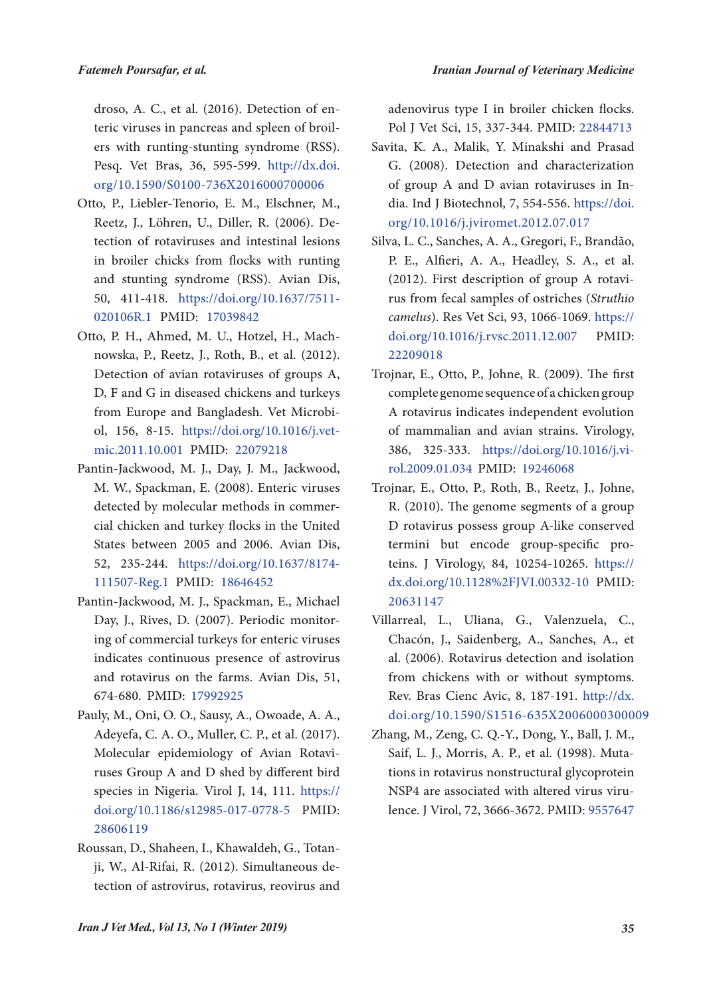*Iranian Journal of Veterinary Medicine*

droso, A. C., et al. (2016). Detection of enteric viruses in pancreas and spleen of broilers with runting-stunting syndrome (RSS). Pesq. Vet Bras, 36, 595-599. http://dx.doi. org/10.1590/S0100-736X2016000700006

- Otto, P., Liebler-Tenorio, E. M., Elschner, M., Reetz, J., Löhren, U., Diller, R. (2006). Detection of rotaviruses and intestinal lesions in broiler chicks from flocks with runting and stunting syndrome (RSS). Avian Dis, 50, 411-418. https://doi.org/10.1637/7511- 020106R.1 PMID: 17039842
- Otto, P. H., Ahmed, M. U., Hotzel, H., Machnowska, P., Reetz, J., Roth, B., et al. (2012). Detection of avian rotaviruses of groups A, D, F and G in diseased chickens and turkeys from Europe and Bangladesh. Vet Microbiol, 156, 8-15. https://doi.org/10.1016/j.vetmic.2011.10.001 PMID: 22079218
- Pantin-Jackwood, M. J., Day, J. M., Jackwood, M. W., Spackman, E. (2008). Enteric viruses detected by molecular methods in commercial chicken and turkey flocks in the United States between 2005 and 2006. Avian Dis, 52, 235-244. https://doi.org/10.1637/8174- 111507-Reg.1 PMID: 18646452
- Pantin-Jackwood, M. J., Spackman, E., Michael Day, J., Rives, D. (2007). Periodic monitoring of commercial turkeys for enteric viruses indicates continuous presence of astrovirus and rotavirus on the farms. Avian Dis, 51, 674-680. PMID: 17992925
- Pauly, M., Oni, O. O., Sausy, A., Owoade, A. A., Adeyefa, C. A. O., Muller, C. P., et al. (2017). Molecular epidemiology of Avian Rotaviruses Group A and D shed by different bird species in Nigeria. Virol J, 14, 111. https:// doi.org/10.1186/s12985-017-0778-5 PMID: 28606119
- Roussan, D., Shaheen, I., Khawaldeh, G., Totanji, W., Al-Rifai, R. (2012). Simultaneous detection of astrovirus, rotavirus, reovirus and

adenovirus type I in broiler chicken flocks. Pol J Vet Sci, 15, 337-344. PMID: 22844713

- Savita, K. A., Malik, Y. Minakshi and Prasad G. (2008). Detection and characterization of group A and D avian rotaviruses in India. Ind J Biotechnol, 7, 554-556. https://doi. org/10.1016/j.jviromet.2012.07.017
- Silva, L. C., Sanches, A. A., Gregori, F., Brandão, P. E., Alfieri, A. A., Headley, S. A., et al. (2012). First description of group A rotavirus from fecal samples of ostriches (*Struthio camelus*). Res Vet Sci, 93, 1066-1069. https:// doi.org/10.1016/j.rvsc.2011.12.007 PMID: 22209018
- Trojnar, E., Otto, P., Johne, R. (2009). The first complete genome sequence of a chicken group A rotavirus indicates independent evolution of mammalian and avian strains. Virology, 386, 325-333. https://doi.org/10.1016/j.virol.2009.01.034 PMID: 19246068
- Trojnar, E., Otto, P., Roth, B., Reetz, J., Johne, R. (2010). The genome segments of a group D rotavirus possess group A-like conserved termini but encode group-specific proteins. J Virology, 84, 10254-10265. https:// dx.doi.org/10.1128%2FJVI.00332-10 PMID: 20631147
- Villarreal, L., Uliana, G., Valenzuela, C., Chacón, J., Saidenberg, A., Sanches, A., et al. (2006). Rotavirus detection and isolation from chickens with or without symptoms. Rev. Bras Cienc Avic, 8, 187-191. http://dx. doi.org/10.1590/S1516-635X2006000300009
- Zhang, M., Zeng, C. Q.-Y., Dong, Y., Ball, J. M., Saif, L. J., Morris, A. P., et al. (1998). Mutations in rotavirus nonstructural glycoprotein NSP4 are associated with altered virus virulence. J Virol, 72, 3666-3672. PMID: 9557647